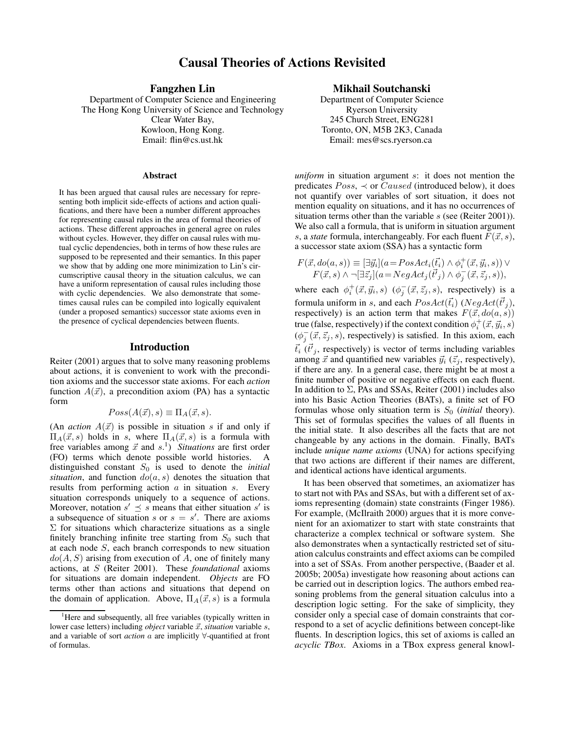# **Causal Theories of Actions Revisited**

**Fangzhen Lin**

Department of Computer Science and Engineering The Hong Kong University of Science and Technology Clear Water Bay, Kowloon, Hong Kong. Email: flin@cs.ust.hk

#### **Abstract**

It has been argued that causal rules are necessary for representing both implicit side-effects of actions and action qualifications, and there have been a number different approaches for representing causal rules in the area of formal theories of actions. These different approaches in general agree on rules without cycles. However, they differ on causal rules with mutual cyclic dependencies, both in terms of how these rules are supposed to be represented and their semantics. In this paper we show that by adding one more minimization to Lin's circumscriptive causal theory in the situation calculus, we can have a uniform representation of causal rules including those with cyclic dependencies. We also demonstrate that sometimes causal rules can be compiled into logically equivalent (under a proposed semantics) successor state axioms even in the presence of cyclical dependencies between fluents.

### **Introduction**

Reiter (2001) argues that to solve many reasoning problems about actions, it is convenient to work with the precondition axioms and the successor state axioms. For each *action* function  $A(\vec{x})$ , a precondition axiom (PA) has a syntactic form

$$
Poss(A(\vec{x}),s) \equiv \Pi_A(\vec{x},s).
$$

(An *action*  $A(\vec{x})$  is possible in situation s if and only if  $\Pi_A(\vec{x}, s)$  holds in s, where  $\Pi_A(\vec{x}, s)$  is a formula with free variables among  $\vec{x}$  and  $s<sup>1</sup>$ ) *Situations* are first order (FO) terms which denote possible world histories. A distinguished constant  $S_0$  is used to denote the *initial situation*, and function  $do(a, s)$  denotes the situation that results from performing action  $a$  in situation  $s$ . Every situation corresponds uniquely to a sequence of actions. Moreover, notation  $s' \preceq s$  means that either situation s' is a subsequence of situation s or  $s = s'$ . There are axioms  $\Sigma$  for situations which characterize situations as a single finitely branching infinite tree starting from  $S_0$  such that at each node S, each branch corresponds to new situation  $do(A, S)$  arising from execution of A, one of finitely many actions, at S (Reiter 2001). These *foundational* axioms for situations are domain independent. *Objects* are FO terms other than actions and situations that depend on the domain of application. Above,  $\Pi_A(\vec{x}, s)$  is a formula

### **Mikhail Soutchanski**

Department of Computer Science Ryerson University 245 Church Street, ENG281 Toronto, ON, M5B 2K3, Canada Email: mes@scs.ryerson.ca

*uniform* in situation argument s: it does not mention the predicates  $Poss$ ,  $\prec$  or *Caused* (introduced below), it does not quantify over variables of sort situation, it does not mention equality on situations, and it has no occurrences of situation terms other than the variable s (see (Reiter 2001)). We also call a formula, that is uniform in situation argument s, a *state* formula, interchangeably. For each fluent  $F(\vec{x}, s)$ , a successor state axiom (SSA) has a syntactic form

$$
F(\vec{x}, do(a, s)) \equiv [\exists \vec{y_i}](a = PosAct_i(\vec{t_i}) \land \phi_i^+(\vec{x}, \vec{y_i}, s)) \lor F(\vec{x}, s) \land \neg[\exists \vec{z_j}](a = NegAct_j(\vec{t'}_j) \land \phi_j^-(\vec{x}, \vec{z_j}, s)),
$$

where each  $\phi_i^+(\vec{x}, \vec{y}_i, s)$   $(\phi_j^-)$  $\overline{j}(\vec{x}, \vec{z}_j, s)$ , respectively) is a formula uniform in s, and each  $PosAct(\vec{t}_i)$  ( $NegAct(\vec{t'}_j)$ , respectively) is an action term that makes  $F(\vec{x}, do(a, s))$ true (false, respectively) if the context condition  $\phi_i^+(\vec{x}, \vec{y}_i, s)$  $(\phi_i^-)$  $j(\vec{x}, \vec{z}_j, s)$ , respectively) is satisfied. In this axiom, each  $\vec{t}_i$  ( $\vec{t}'_j$ , respectively) is vector of terms including variables among  $\vec{x}$  and quantified new variables  $\vec{y}_i$  ( $\vec{z}_j$ , respectively), if there are any. In a general case, there might be at most a finite number of positive or negative effects on each fluent. In addition to  $\Sigma$ , PAs and SSAs, Reiter (2001) includes also into his Basic Action Theories (BATs), a finite set of FO formulas whose only situation term is  $S_0$  (*initial* theory). This set of formulas specifies the values of all fluents in the initial state. It also describes all the facts that are not changeable by any actions in the domain. Finally, BATs include *unique name axioms* (UNA) for actions specifying that two actions are different if their names are different, and identical actions have identical arguments.

It has been observed that sometimes, an axiomatizer has to start not with PAs and SSAs, but with a different set of axioms representing (domain) state constraints (Finger 1986). For example, (McIlraith 2000) argues that it is more convenient for an axiomatizer to start with state constraints that characterize a complex technical or software system. She also demonstrates when a syntactically restricted set of situation calculus constraints and effect axioms can be compiled into a set of SSAs. From another perspective, (Baader et al. 2005b; 2005a) investigate how reasoning about actions can be carried out in description logics. The authors embed reasoning problems from the general situation calculus into a description logic setting. For the sake of simplicity, they consider only a special case of domain constraints that correspond to a set of acyclic definitions between concept-like fluents. In description logics, this set of axioms is called an *acyclic TBox*. Axioms in a TBox express general knowl-

<sup>&</sup>lt;sup>1</sup>Here and subsequently, all free variables (typically written in lower case letters) including *object* variable  $\vec{x}$ , *situation* variable s, and a variable of sort *action* a are implicitly ∀-quantified at front of formulas.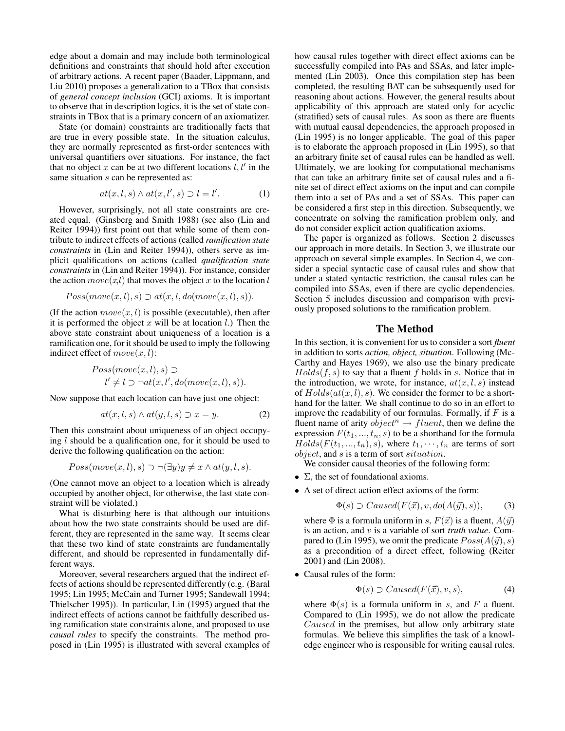edge about a domain and may include both terminological definitions and constraints that should hold after execution of arbitrary actions. A recent paper (Baader, Lippmann, and Liu 2010) proposes a generalization to a TBox that consists of *general concept inclusion* (GCI) axioms. It is important to observe that in description logics, it is the set of state constraints in TBox that is a primary concern of an axiomatizer.

State (or domain) constraints are traditionally facts that are true in every possible state. In the situation calculus, they are normally represented as first-order sentences with universal quantifiers over situations. For instance, the fact that no object x can be at two different locations  $l, l'$  in the same situation s can be represented as:

$$
at(x, l, s) \wedge at(x, l', s) \supset l = l'. \tag{1}
$$

However, surprisingly, not all state constraints are created equal. (Ginsberg and Smith 1988) (see also (Lin and Reiter 1994)) first point out that while some of them contribute to indirect effects of actions (called *ramification state constraints* in (Lin and Reiter 1994)), others serve as implicit qualifications on actions (called *qualification state constraints* in (Lin and Reiter 1994)). For instance, consider the action  $move(x, l)$  that moves the object x to the location l

$$
Poss(move(x, l), s) \supset at(x, l, do(move(x, l), s)).
$$

(If the action  $move(x, l)$  is possible (executable), then after it is performed the object x will be at location  $l$ .) Then the above state constraint about uniqueness of a location is a ramification one, for it should be used to imply the following indirect effect of  $move(x, l)$ :

$$
Poss(move(x, l), s) \supset
$$
  
 
$$
l' \neq l \supset \neg at(x, l', do(move(x, l), s)).
$$

Now suppose that each location can have just one object:

$$
at(x, l, s) \wedge at(y, l, s) \supset x = y. \tag{2}
$$

Then this constraint about uniqueness of an object occupying  $l$  should be a qualification one, for it should be used to derive the following qualification on the action:

$$
Poss(move(x, l), s) \supset \neg(\exists y)y \neq x \land at(y, l, s).
$$

(One cannot move an object to a location which is already occupied by another object, for otherwise, the last state constraint will be violated.)

What is disturbing here is that although our intuitions about how the two state constraints should be used are different, they are represented in the same way. It seems clear that these two kind of state constraints are fundamentally different, and should be represented in fundamentally different ways.

Moreover, several researchers argued that the indirect effects of actions should be represented differently (e.g. (Baral 1995; Lin 1995; McCain and Turner 1995; Sandewall 1994; Thielscher 1995)). In particular, Lin (1995) argued that the indirect effects of actions cannot be faithfully described using ramification state constraints alone, and proposed to use *causal rules* to specify the constraints. The method proposed in (Lin 1995) is illustrated with several examples of how causal rules together with direct effect axioms can be successfully compiled into PAs and SSAs, and later implemented (Lin 2003). Once this compilation step has been completed, the resulting BAT can be subsequently used for reasoning about actions. However, the general results about applicability of this approach are stated only for acyclic (stratified) sets of causal rules. As soon as there are fluents with mutual causal dependencies, the approach proposed in (Lin 1995) is no longer applicable. The goal of this paper is to elaborate the approach proposed in (Lin 1995), so that an arbitrary finite set of causal rules can be handled as well. Ultimately, we are looking for computational mechanisms that can take an arbitrary finite set of causal rules and a finite set of direct effect axioms on the input and can compile them into a set of PAs and a set of SSAs. This paper can be considered a first step in this direction. Subsequently, we concentrate on solving the ramification problem only, and do not consider explicit action qualification axioms.

The paper is organized as follows. Section 2 discusses our approach in more details. In Section 3, we illustrate our approach on several simple examples. In Section 4, we consider a special syntactic case of causal rules and show that under a stated syntactic restriction, the causal rules can be compiled into SSAs, even if there are cyclic dependencies. Section 5 includes discussion and comparison with previously proposed solutions to the ramification problem.

### **The Method**

In this section, it is convenient for us to consider a sort *fluent* in addition to sorts *action, object, situation*. Following (Mc-Carthy and Hayes 1969), we also use the binary predicate  $Holds(f, s)$  to say that a fluent f holds in s. Notice that in the introduction, we wrote, for instance,  $at(x, l, s)$  instead of  $Holds(at(x, l), s)$ . We consider the former to be a shorthand for the latter. We shall continue to do so in an effort to improve the readability of our formulas. Formally, if  $F$  is a fluent name of arity  $object^n \rightarrow fluent$ , then we define the expression  $F(t_1, ..., t_n, s)$  to be a shorthand for the formula  $Holds(F(t_1, ..., t_n), s)$ , where  $t_1, \dots, t_n$  are terms of sort object, and s is a term of sort situation.

We consider causal theories of the following form:

- $\Sigma$ , the set of foundational axioms.
- A set of direct action effect axioms of the form:

$$
\Phi(s) \supset Caused(F(\vec{x}), v, do(A(\vec{y}), s)), \tag{3}
$$

where  $\Phi$  is a formula uniform in s,  $F(\vec{x})$  is a fluent,  $A(\vec{y})$ is an action, and v is a variable of sort *truth value*. Compared to (Lin 1995), we omit the predicate  $Poss(A(\vec{y}), s)$ as a precondition of a direct effect, following (Reiter 2001) and (Lin 2008).

• Causal rules of the form:

$$
\Phi(s) \supset Caused(F(\vec{x}), v, s), \tag{4}
$$

where  $\Phi(s)$  is a formula uniform in s, and F a fluent. Compared to (Lin 1995), we do not allow the predicate Caused in the premises, but allow only arbitrary state formulas. We believe this simplifies the task of a knowledge engineer who is responsible for writing causal rules.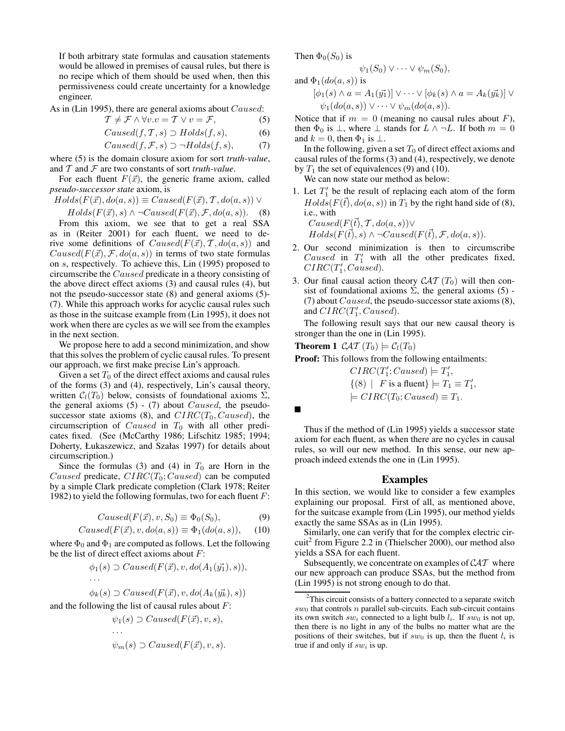If both arbitrary state formulas and causation statements would be allowed in premises of causal rules, but there is no recipe which of them should be used when, then this permissiveness could create uncertainty for a knowledge engineer.

As in (Lin 1995), there are general axioms about *Caused*:

$$
\mathcal{T} \neq \mathcal{F} \land \forall v. v = \mathcal{T} \lor v = \mathcal{F},\tag{5}
$$

$$
Caused(f, T, s) \supset Holds(f, s),
$$
\n
$$
Caused(f, F, s) \supset \neg Holds(f, s)
$$
\n(7)

$$
Causea(J, \mathcal{F}, s) \supset \neg \text{H} \text{olas}(J, s), \qquad (1)
$$

where (5) is the domain closure axiom for sort *truth-value*, and T and F are two constants of sort *truth-value*.

For each fluent  $F(\vec{x})$ , the generic frame axiom, called *pseudo-successor state* axiom, is

 $Holds(F(\vec{x}), do(a, s)) \equiv Caused(F(\vec{x}), T, do(a, s)) \vee$ 

 $Holds(F(\vec{x}), s) \wedge \neg Caused(F(\vec{x}), \mathcal{F}, do(a, s)).$  (8) From this axiom, we see that to get a real SSA as in (Reiter 2001) for each fluent, we need to derive some definitions of  $Caused(F(\vec{x}), \mathcal{T}, do(a, s))$  and  $Caused(F(\vec{x}), \mathcal{F}, do(a, s))$  in terms of two state formulas on s, respectively. To achieve this, Lin (1995) proposed to circumscribe the Caused predicate in a theory consisting of the above direct effect axioms (3) and causal rules (4), but not the pseudo-successor state (8) and general axioms (5)- (7). While this approach works for acyclic causal rules such as those in the suitcase example from (Lin 1995), it does not work when there are cycles as we will see from the examples in the next section.

We propose here to add a second minimization, and show that this solves the problem of cyclic causal rules. To present our approach, we first make precise Lin's approach.

Given a set  $T_0$  of the direct effect axioms and causal rules of the forms (3) and (4), respectively, Lin's causal theory, written  $C_l(T_0)$  below, consists of foundational axioms  $\Sigma$ , the general axioms  $(5)$  -  $(7)$  about *Caused*, the pseudosuccessor state axioms (8), and  $CIRC(T_0, Caused)$ , the circumscription of *Caused* in  $T_0$  with all other predicates fixed. (See (McCarthy 1986; Lifschitz 1985; 1994; Doherty, Łukaszewicz, and Szałas 1997) for details about circumscription.)

Since the formulas (3) and (4) in  $T_0$  are Horn in the Caused predicate,  $CIRC(T_0; Caused)$  can be computed by a simple Clark predicate completion (Clark 1978; Reiter 1982) to yield the following formulas, two for each fluent  $F$ :

$$
Caused(F(\vec{x}), v, S_0) \equiv \Phi_0(S_0), \tag{9}
$$

$$
Caused(F(\vec{x}), v, do(a, s)) \equiv \Phi_1(do(a, s)), \quad (10)
$$

where  $\Phi_0$  and  $\Phi_1$  are computed as follows. Let the following be the list of direct effect axioms about  $F$ :

$$
\phi_1(s) \supset Caused(F(\vec{x}), v, do(A_1(\vec{y_1}), s)),
$$
  
...

$$
\phi_k(s) \supset Caused(F(\vec{x}), v, do(A_k(\vec{y_k}), s))
$$

and the following the list of causal rules about  $F$ :

$$
\psi_1(s) \supset Caused(F(\vec{x}), v, s),
$$
  
\n...  
\n $\psi_m(s) \supset Caused(F(\vec{x}), v, s).$ 

Then  $\Phi_0(S_0)$  is

$$
\psi_1(S_0) \vee \cdots \vee \psi_m(S_0),
$$

and  $\Phi_1(do(a, s))$  is

$$
[\phi_1(s) \wedge a = A_1(\vec{y_1})] \vee \cdots \vee [\phi_k(s) \wedge a = A_k(\vec{y_k})] \vee
$$
  

$$
\psi_1(do(a, s)) \vee \cdots \vee \psi_m(do(a, s)).
$$

Notice that if  $m = 0$  (meaning no causal rules about F), then  $\Phi_0$  is  $\bot$ , where  $\bot$  stands for  $L \wedge \neg L$ . If both  $m = 0$ and  $k = 0$ , then  $\Phi_1$  is  $\perp$ .

In the following, given a set  $T_0$  of direct effect axioms and causal rules of the forms (3) and (4), respectively, we denote by  $T_1$  the set of equivalences (9) and (10).

We can now state our method as below:

1. Let  $T_1'$  be the result of replacing each atom of the form  $Holds(F(\vec{t}), do(a, s))$  in  $T_1$  by the right hand side of (8), i.e., with

 $Caused(F(\vec{t}), \mathcal{T}, do(a, s)) \vee$  $Holds(F(\vec{t}), s) \wedge \neg Caused(F(\vec{t}), \mathcal{F}, do(a, s)).$ 

- 2. Our second minimization is then to circumscribe Caused in  $T'_1$  with all the other predicates fixed,  $CIRC(T'_1, Caused).$
- 3. Our final causal action theory  $\mathcal{CAT}(T_0)$  will then consist of foundational axioms  $\Sigma$ , the general axioms (5) -(7) about *Caused*, the pseudo-successor state axioms  $(8)$ , and  $CIRC(T'_1, Caused)$ .

The following result says that our new causal theory is stronger than the one in (Lin 1995).

**Theorem 1**  $\mathcal{CAT}(T_0) \models \mathcal{C}_l(T_0)$ 

**Proof:** This follows from the following entailments:

 $CIRC(T'_1; Caused) \models T'_1,$  $\{(8) | F \text{ is a fluent}\}\models T_1 \equiv T'_1,$  $\models CIRC(T_0; Caused) \equiv T_1.$ 

Thus if the method of (Lin 1995) yields a successor state axiom for each fluent, as when there are no cycles in causal rules, so will our new method. In this sense, our new approach indeed extends the one in (Lin 1995).

#### **Examples**

In this section, we would like to consider a few examples explaining our proposal. First of all, as mentioned above, for the suitcase example from (Lin 1995), our method yields exactly the same SSAs as in (Lin 1995).

Similarly, one can verify that for the complex electric circuit<sup>2</sup> from Figure 2.2 in (Thielscher 2000), our method also yields a SSA for each fluent.

Subsequently, we concentrate on examples of  $CAT$  where our new approach can produce SSAs, but the method from (Lin 1995) is not strong enough to do that.

 $2^2$ This circuit consists of a battery connected to a separate switch  $sw_0$  that controls n parallel sub-circuits. Each sub-circuit contains its own switch  $sw_i$  connected to a light bulb  $l_i$ . If  $sw_0$  is not up, then there is no light in any of the bulbs no matter what are the positions of their switches, but if  $sw_0$  is up, then the fluent  $l_i$  is true if and only if  $sw_i$  is up.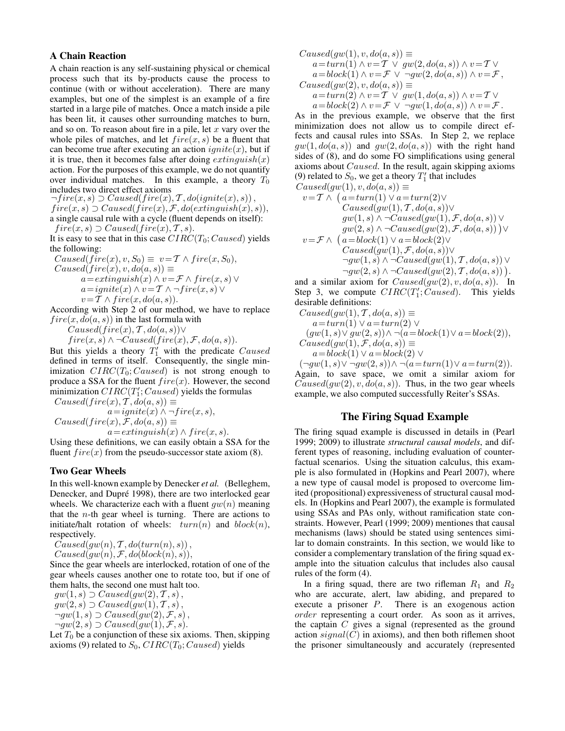### **A Chain Reaction**

A chain reaction is any self-sustaining physical or chemical process such that its by-products cause the process to continue (with or without acceleration). There are many examples, but one of the simplest is an example of a fire started in a large pile of matches. Once a match inside a pile has been lit, it causes other surrounding matches to burn, and so on. To reason about fire in a pile, let x vary over the whole piles of matches, and let  $fire(x, s)$  be a fluent that can become true after executing an action  $\text{ignite}(x)$ , but if it is true, then it becomes false after doing  $ext{int}_{x}$ action. For the purposes of this example, we do not quantify over individual matches. In this example, a theory  $T_0$ includes two direct effect axioms

 $\neg fire(x, s) \supset Causedfire(x), T, do(jinite(x), s)),$  $fire(x, s) \supset Caused(fire(x), \mathcal{F}, do(extinguish(x), s)),$ a single causal rule with a cycle (fluent depends on itself):  $fire(x, s) \supset Caused(fire(x), T, s).$ 

It is easy to see that in this case  $CIRC(T_0; Caused)$  yields the following:

$$
Caused(fire(x), v, S_0) \equiv v = T \wedge fire(x, S_0),
$$
  
\n
$$
Caused(fire(x), v, do(a, s)) \equiv
$$
  
\n
$$
a = extinguish(x) \wedge v = \mathcal{F} \wedge fire(x, s) \vee
$$
  
\n
$$
a = ignite(x) \wedge v = T \wedge - fire(x, s) \vee
$$
  
\n
$$
v = T \wedge fire(x, do(a, s)).
$$

According with Step 2 of our method, we have to replace  $fire(x, do(a, s))$  in the last formula with

 $Caused(fire(x), T, do(a, s)) \vee$ 

 $fire(x, s) \wedge \neg Caused(fire(x), \mathcal{F}, do(a, s)).$ 

But this yields a theory  $T'_1$  with the predicate Caused defined in terms of itself. Consequently, the single minimization  $CIRC(T_0; Caused)$  is not strong enough to produce a SSA for the fluent  $fire(x)$ . However, the second minimization  $CIRC(T'_1;Caused)$  yields the formulas  $Caused(fire(x), T, do(a, s)) \equiv$ 

 $a=iginite(x) \wedge \neg fire(x, s),$  $Caused(fire(x), \mathcal{F}, do(a, s)) \equiv$  $a=extinguish(x) \wedge fire(x, s).$ 

Using these definitions, we can easily obtain a SSA for the fluent  $fire(x)$  from the pseudo-successor state axiom (8).

### **Two Gear Wheels**

In this well-known example by Denecker *et al.* (Belleghem, Denecker, and Dupré 1998), there are two interlocked gear wheels. We characterize each with a fluent  $qw(n)$  meaning that the  $n$ -th gear wheel is turning. There are actions to initiate/halt rotation of wheels:  $turn(n)$  and  $block(n)$ , respectively.

 $Caused(gw(n), T, do(turn(n), s)),$  $Caused(gw(n), \mathcal{F}, do(block(n), s)),$ 

Since the gear wheels are interlocked, rotation of one of the gear wheels causes another one to rotate too, but if one of them halts, the second one must halt too.

 $gw(1, s) \supset Caused(gw(2), \mathcal{T}, s),$  $gw(2, s) \supset Caused(gw(1), \mathcal{T}, s),$  $\neg gw(1, s) \supset Caused(gw(2), \mathcal{F}, s),$  $\neg gw(2, s) \supset Caused(gw(1), \mathcal{F}, s).$ 

Let  $T_0$  be a conjunction of these six axioms. Then, skipping axioms (9) related to  $S_0$ ,  $CIRC(T_0; Caused)$  yields

$$
Caused(gw(1), v, do(a, s)) \equiv
$$
  
\n
$$
a = turn(1) \land v = T \lor gw(2, do(a, s)) \land v = T \lor
$$
  
\n
$$
a = block(1) \land v = \mathcal{F} \lor \neg gw(2, do(a, s)) \land v = \mathcal{F},
$$
  
\n
$$
Caused(gw(2), v, do(a, s)) \equiv
$$
  
\n
$$
a = turn(2) \land v = T \lor gw(1, do(a, s)) \land v = T \lor
$$

 $a = block(2) \wedge v = \mathcal{F} \vee \neg gw(1, do(a, s)) \wedge v = \mathcal{F}.$ As in the previous example, we observe that the first minimization does not allow us to compile direct effects and causal rules into SSAs. In Step 2, we replace  $gw(1, do(a, s))$  and  $gw(2, do(a, s))$  with the right hand sides of (8), and do some FO simplifications using general axioms about  $Caused$ . In the result, again skipping axioms (9) related to  $S_0$ , we get a theory  $T'_1$  that includes  $Caused(qw(1), v, do(a, s)) \equiv$ 

$$
v = \mathcal{T} \land (a = turn(1) \lor a = turn(2) \lor\nCaused(gw(1), \mathcal{T}, do(a, s)) \lor\ngw(1, s) \land \neg Caused(gw(1), \mathcal{F}, do(a, s)) \lor\ngw(2, s) \land \neg Caused(gw(2), \mathcal{F}, do(a, s)) \lor\nv = \mathcal{F} \land (a = block(1) \lor a = block(2) \lor\nCaused(gw(1), \mathcal{F}, do(a, s)) \lor\n\negw(1, s) \land \neg Caused(gw(1), \mathcal{T}, do(a, s)) \lor\n\negw(2, s) \land \neg Caused(gw(2), \mathcal{T}, do(a, s))).
$$

and a similar axiom for  $Caused(qw(2), v, do(a, s))$ . In Step 3, we compute  $CIRC(T'_1; Caused)$ . This yields desirable definitions:

$$
Caused(gw(1), T, do(a, s)) \equiv
$$
  
\n
$$
a = turn(1) \lor a = turn(2) \lor
$$
  
\n
$$
(gw(1, s) \lor gw(2, s)) \land \neg(a = block(1) \lor a = block(2)),
$$
  
\n
$$
Caused(gw(1), F, do(a, s)) \equiv
$$

 $a = block(1) \vee a = block(2) \vee$ 

 $(\neg gw(1, s) \lor \neg gw(2, s)) \land \neg(a = turn(1) \lor a = turn(2)).$ Again, to save space, we omit a similar axiom for  $Caused(gw(2), v, do(a, s))$ . Thus, in the two gear wheels example, we also computed successfully Reiter's SSAs.

## **The Firing Squad Example**

The firing squad example is discussed in details in (Pearl 1999; 2009) to illustrate *structural causal models*, and different types of reasoning, including evaluation of counterfactual scenarios. Using the situation calculus, this example is also formulated in (Hopkins and Pearl 2007), where a new type of causal model is proposed to overcome limited (propositional) expressiveness of structural causal models. In (Hopkins and Pearl 2007), the example is formulated using SSAs and PAs only, without ramification state constraints. However, Pearl (1999; 2009) mentiones that causal mechanisms (laws) should be stated using sentences similar to domain constraints. In this section, we would like to consider a complementary translation of the firing squad example into the situation calculus that includes also causal rules of the form (4).

In a firing squad, there are two rifleman  $R_1$  and  $R_2$ who are accurate, alert, law abiding, and prepared to execute a prisoner  $P$ . There is an exogenous action order representing a court order. As soon as it arrives, the captain  $C$  gives a signal (represented as the ground action  $signal(C)$  in axioms), and then both riflemen shoot the prisoner simultaneously and accurately (represented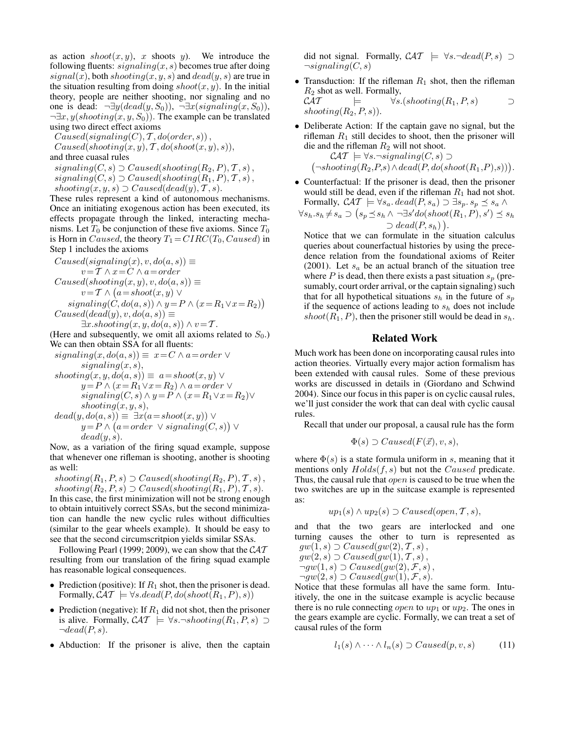as action  $\text{shoot}(x, y)$ , x shoots y). We introduce the following fluents:  $signaling(x, s)$  becomes true after doing  $signal(x)$ , both  $shoothing(x, y, s)$  and  $dead(y, s)$  are true in the situation resulting from doing  $\text{shoot}(x, y)$ . In the initial theory, people are neither shooting, nor signaling and no one is dead:  $\neg \exists y (dead(y, S_0)), \neg \exists x (signaling(x, S_0)),$  $\neg \exists x, y (shoothing(x, y, S_0)).$  The example can be translated using two direct effect axioms

 $Caused(signaling(C), T, do(order, s)),$ 

 $Caused(shoothing(x, y), T, do(shot(x, y), s)),$ and three cuasal rules

 $signaling(C, s) \supset Caused(shoothing(R_2, P), T, s),$  $signaling(C, s) \supset Caused(shoothing(R_1, P), T, s),$ shooting $(x, y, s)$   $\supset$  Caused(dead(y),  $\mathcal{T}, s$ ).

These rules represent a kind of autonomous mechanisms. Once an initiating exogenous action has been executed, its effects propagate through the linked, interacting mechanisms. Let  $T_0$  be conjunction of these five axioms. Since  $T_0$ is Horn in Caused, the theory  $T_1 = CIRC(T_0, Caused)$  in Step 1 includes the axioms

 $Caused(signaling(x), v, do(a, s)) \equiv$  $v = T \wedge x = C \wedge a = order$  $Caused(shoothing(x, y), v, do(a, s)) \equiv$  $v = \mathcal{T} \wedge (a = shoot(x, y) \vee$  $sigmoid(C, do(a, s)) \wedge y = P \wedge (x = R_1 \vee x = R_2))$  $Caused(dead(y), v, do(a, s)) \equiv$  $\exists x. shooting(x, y, do(a, s)) \wedge v = T.$ 

(Here and subsequently, we omit all axioms related to  $S_0$ .) We can then obtain SSA for all fluents:

 $signaling(x, do(a, s)) \equiv x = C \land a = order \lor$  $signaling(x, s),$ 

$$
shoothing(x, y, do(a, s)) \equiv a = shoot(x, y) \lor
$$
  
\n
$$
y = P \land (x = R_1 \lor x = R_2) \land a = order \lor
$$
  
\nsignaling(C, s) \land y = P \land (x = R\_1 \lor x = R\_2) \lor  
\n
$$
shoothing(x, y, s),
$$
  
\ndead(y, d0(a, s)) \equiv \exists (a = shock(x, y)) \lor

$$
dead(y, do(a, s)) \equiv \exists x (a = shoot(x, y)) \vee \ny = P \wedge (a = order \vee signaling(C, s)) \vee \ndead(y, s).
$$

Now, as a variation of the firing squad example, suppose that whenever one rifleman is shooting, another is shooting as well:

shooting( $R_1, P, s$ )  $\supset$  Caused(shooting( $R_2, P$ ),  $\mathcal{T}, s$ ), shooting( $R_2, P, s$ )  $\supset$  Caused(shooting( $R_1, P$ ),  $\mathcal{T}, s$ ). In this case, the first minimization will not be strong enough to obtain intuitively correct SSAs, but the second minimization can handle the new cyclic rules without difficulties (similar to the gear wheels example). It should be easy to see that the second circumscritpion yields similar SSAs.

Following Pearl (1999; 2009), we can show that the  $CAT$ resulting from our translation of the firing squad example has reasonable logical consequences.

- Prediction (positive): If  $R_1$  shot, then the prisoner is dead. Formally,  $\mathcal{CAT} \models \forall s. dead(P, do(shoot(R_1, P), s))$
- Prediction (negative): If  $R_1$  did not shot, then the prisoner is alive. Formally,  $\mathcal{CAT} \models \forall s.\neg shooting(R_1, P, s) \supset$  $\neg dead(P, s).$
- Abduction: If the prisoner is alive, then the captain

did not signal. Formally,  $\mathcal{CAT} \models \forall s. \neg dead(P, s) \supset$  $\neg signaling(C, s)$ 

• Transduction: If the rifleman  $R_1$  shot, then the rifleman  $R_2$  shot as well. Formally,<br> $\mathcal{CAT} \models \forall s.$  $\models$   $\forall s. (shoothing(R_1, P, s) \Box$ 

shooting $(R_2, P, s)$ ).

• Deliberate Action: If the captain gave no signal, but the rifleman  $R_1$  still decides to shoot, then the prisoner will die and the rifleman  $R_2$  will not shoot.

 $\mathcal{CAT} \models \forall s.\neg signaling(C,s) \supset$  $(\neg shooting(R_2, P, s) \land dead(P, do(shoot(R_1, P), s)))$ .

• Counterfactual: If the prisoner is dead, then the prisoner would still be dead, even if the rifleman  $R_1$  had not shot. Formally,  $\mathcal{CAT} \models \forall s_a. dead(P, s_a) \supset \exists s_p. s_p \preceq s_a \land$ 

$$
\forall s_h. s_h \neq s_a \supset (s_p \preceq s_h \land \neg \exists s' do(shoot(R_1, P), s') \preceq s_h \supset dead(P, s_h)).
$$

Notice that we can formulate in the situation calculus queries about counerfactual histories by using the precedence relation from the foundational axioms of Reiter (2001). Let  $s_a$  be an actual branch of the situation tree where  $P$  is dead, then there exists a past situation  $s_p$  (presumably, court order arrival, or the captain signaling) such that for all hypothetical situations  $s_h$  in the future of  $s_p$ if the sequence of actions leading to  $s<sub>h</sub>$  does not include  $shoot(R_1, P)$ , then the prisoner still would be dead in  $s_h$ .

### **Related Work**

Much work has been done on incorporating causal rules into action theories. Virtually every major action formalism has been extended with causal rules. Some of these previous works are discussed in details in (Giordano and Schwind 2004). Since our focus in this paper is on cyclic causal rules, we'll just consider the work that can deal with cyclic causal rules.

Recall that under our proposal, a causal rule has the form

$$
\Phi(s) \supset Caused(F(\vec{x}), v, s),
$$

where  $\Phi(s)$  is a state formula uniform in s, meaning that it mentions only  $Holds(f, s)$  but not the *Caused* predicate. Thus, the causal rule that *open* is caused to be true when the two switches are up in the suitcase example is represented as:

$$
up_1(s) \wedge up_2(s) \supset Caused(open, T, s),
$$

and that the two gears are interlocked and one turning causes the other to turn is represented as  $qw(1, s) \supset Caused(qw(2), \mathcal{T}, s),$ 

$$
gw(2,s) \supset Caused(gw(1),T,s),
$$
  
\n $\supseteq$   $gw(1,s) \supset Caused(gw(2),F,s)$ 

$$
\neg gw(1, s) \supset \text{Cause}(gw(2), \mathcal{F}, s),
$$

 $\neg gw(2, s) \supset Caused(gw(1), \mathcal{F}, s).$ 

Notice that these formulas all have the same form. Intuitively, the one in the suitcase example is acyclic because there is no rule connecting *open* to  $up_1$  or  $up_2$ . The ones in the gears example are cyclic. Formally, we can treat a set of causal rules of the form

$$
l_1(s) \wedge \cdots \wedge l_n(s) \supset Caused(p, v, s) \tag{11}
$$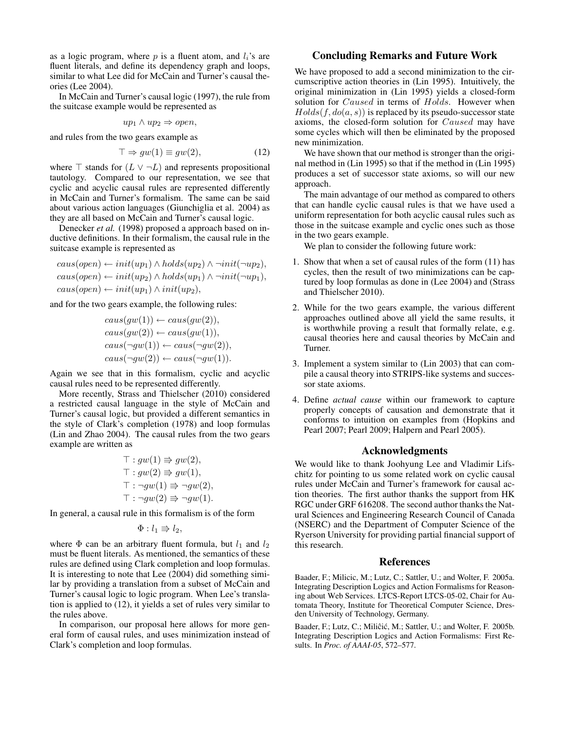as a logic program, where  $p$  is a fluent atom, and  $l_i$ 's are fluent literals, and define its dependency graph and loops, similar to what Lee did for McCain and Turner's causal theories (Lee 2004).

In McCain and Turner's causal logic (1997), the rule from the suitcase example would be represented as

$$
up_1 \wedge up_2 \Rightarrow open,
$$

and rules from the two gears example as

$$
\top \Rightarrow gw(1) \equiv gw(2),\tag{12}
$$

where  $\top$  stands for  $(L \vee \neg L)$  and represents propositional tautology. Compared to our representation, we see that cyclic and acyclic causal rules are represented differently in McCain and Turner's formalism. The same can be said about various action languages (Giunchiglia et al. 2004) as they are all based on McCain and Turner's causal logic.

Denecker *et al.* (1998) proposed a approach based on inductive definitions. In their formalism, the causal rule in the suitcase example is represented as

$$
caus(open) \leftarrow init(up_1) \wedge holds(up_2) \wedge \neg init(\neg up_2),
$$
  

$$
caus(open) \leftarrow init(up_2) \wedge holds(up_1) \wedge \neg init(\neg up_1),
$$
  

$$
caus(open) \leftarrow init(up_1) \wedge init(up_2),
$$

and for the two gears example, the following rules:

$$
caus(gw(1)) \leftarrow caus(gw(2)),
$$
  
\n
$$
caus(gw(2)) \leftarrow caus(gw(1)),
$$
  
\n
$$
caus(\neg gw(1)) \leftarrow caus(\neg gw(2)),
$$
  
\n
$$
caus(\neg gw(2)) \leftarrow caus(\neg gw(1)).
$$

Again we see that in this formalism, cyclic and acyclic causal rules need to be represented differently.

More recently, Strass and Thielscher (2010) considered a restricted causal language in the style of McCain and Turner's causal logic, but provided a different semantics in the style of Clark's completion (1978) and loop formulas (Lin and Zhao 2004). The causal rules from the two gears example are written as

$$
\begin{aligned}\n\top: gw(1) &\Rightarrow gw(2), \\
\top: gw(2) &\Rightarrow gw(1), \\
\top: \neg gw(1) &\Rightarrow \neg gw(2), \\
\top: \neg gw(2) &\Rightarrow \neg gw(1).\n\end{aligned}
$$

In general, a causal rule in this formalism is of the form

$$
\Phi: l_1 \Rrightarrow l_2,
$$

where  $\Phi$  can be an arbitrary fluent formula, but  $l_1$  and  $l_2$ must be fluent literals. As mentioned, the semantics of these rules are defined using Clark completion and loop formulas. It is interesting to note that Lee (2004) did something similar by providing a translation from a subset of McCain and Turner's causal logic to logic program. When Lee's translation is applied to (12), it yields a set of rules very similar to the rules above.

In comparison, our proposal here allows for more general form of causal rules, and uses minimization instead of Clark's completion and loop formulas.

### **Concluding Remarks and Future Work**

We have proposed to add a second minimization to the circumscriptive action theories in (Lin 1995). Intuitively, the original minimization in (Lin 1995) yields a closed-form solution for *Caused* in terms of *Holds*. However when  $Holds(f, do(a, s))$  is replaced by its pseudo-successor state axioms, the closed-form solution for Caused may have some cycles which will then be eliminated by the proposed new minimization.

We have shown that our method is stronger than the original method in (Lin 1995) so that if the method in (Lin 1995) produces a set of successor state axioms, so will our new approach.

The main advantage of our method as compared to others that can handle cyclic causal rules is that we have used a uniform representation for both acyclic causal rules such as those in the suitcase example and cyclic ones such as those in the two gears example.

We plan to consider the following future work:

- 1. Show that when a set of causal rules of the form (11) has cycles, then the result of two minimizations can be captured by loop formulas as done in (Lee 2004) and (Strass and Thielscher 2010).
- 2. While for the two gears example, the various different approaches outlined above all yield the same results, it is worthwhile proving a result that formally relate, e.g. causal theories here and causal theories by McCain and Turner.
- 3. Implement a system similar to (Lin 2003) that can compile a causal theory into STRIPS-like systems and successor state axioms.
- 4. Define *actual cause* within our framework to capture properly concepts of causation and demonstrate that it conforms to intuition on examples from (Hopkins and Pearl 2007; Pearl 2009; Halpern and Pearl 2005).

### **Acknowledgments**

We would like to thank Joohyung Lee and Vladimir Lifschitz for pointing to us some related work on cyclic causal rules under McCain and Turner's framework for causal action theories. The first author thanks the support from HK RGC under GRF 616208. The second author thanks the Natural Sciences and Engineering Research Council of Canada (NSERC) and the Department of Computer Science of the Ryerson University for providing partial financial support of this research.

### **References**

Baader, F.; Milicic, M.; Lutz, C.; Sattler, U.; and Wolter, F. 2005a. Integrating Description Logics and Action Formalisms for Reasoning about Web Services. LTCS-Report LTCS-05-02, Chair for Automata Theory, Institute for Theoretical Computer Science, Dresden University of Technology, Germany.

Baader, F.; Lutz, C.; Miliĉić, M.; Sattler, U.; and Wolter, F. 2005b. Integrating Description Logics and Action Formalisms: First Results. In *Proc. of AAAI-05*, 572–577.